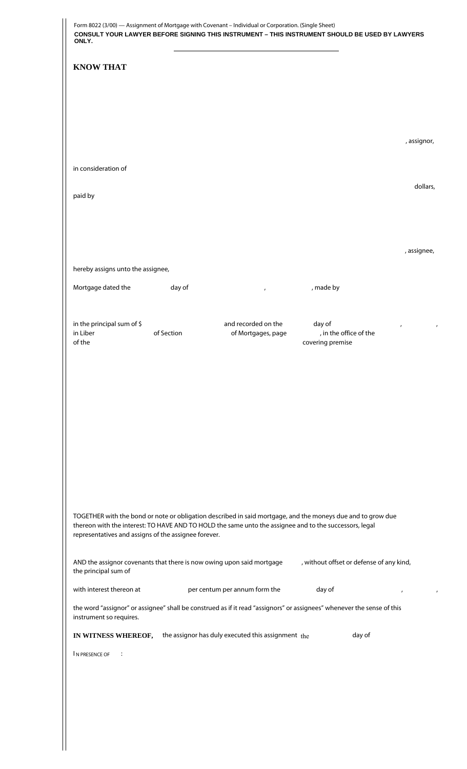| ONLY.                                                   |            |                                                                                                        | CONSULT YOUR LAWYER BEFORE SIGNING THIS INSTRUMENT - THIS INSTRUMENT SHOULD BE USED BY LAWYERS                         |             |
|---------------------------------------------------------|------------|--------------------------------------------------------------------------------------------------------|------------------------------------------------------------------------------------------------------------------------|-------------|
| <b>KNOW THAT</b>                                        |            |                                                                                                        |                                                                                                                        |             |
|                                                         |            |                                                                                                        |                                                                                                                        |             |
|                                                         |            |                                                                                                        |                                                                                                                        | , assignor, |
| in consideration of                                     |            |                                                                                                        |                                                                                                                        |             |
| paid by                                                 |            |                                                                                                        |                                                                                                                        | dollars,    |
|                                                         |            |                                                                                                        |                                                                                                                        |             |
|                                                         |            |                                                                                                        |                                                                                                                        |             |
|                                                         |            |                                                                                                        |                                                                                                                        | , assignee, |
| hereby assigns unto the assignee,<br>Mortgage dated the | day of     | $\mathbf{r}$                                                                                           | , made by                                                                                                              |             |
|                                                         |            |                                                                                                        |                                                                                                                        |             |
| in the principal sum of \$<br>in Liber<br>of the        | of Section | and recorded on the<br>of Mortgages, page                                                              | day of<br>, in the office of the<br>covering premise                                                                   |             |
|                                                         |            |                                                                                                        |                                                                                                                        |             |
|                                                         |            |                                                                                                        |                                                                                                                        |             |
|                                                         |            |                                                                                                        |                                                                                                                        |             |
|                                                         |            |                                                                                                        |                                                                                                                        |             |
|                                                         |            |                                                                                                        |                                                                                                                        |             |
|                                                         |            |                                                                                                        |                                                                                                                        |             |
|                                                         |            |                                                                                                        |                                                                                                                        |             |
| representatives and assigns of the assignee forever.    |            | thereon with the interest: TO HAVE AND TO HOLD the same unto the assignee and to the successors, legal | TOGETHER with the bond or note or obligation described in said mortgage, and the moneys due and to grow due            |             |
| the principal sum of                                    |            | AND the assignor covenants that there is now owing upon said mortgage                                  | , without offset or defense of any kind,                                                                               |             |
| with interest thereon at                                |            | per centum per annum form the                                                                          | day of                                                                                                                 | $\pmb{I}$   |
| instrument so requires.                                 |            |                                                                                                        | the word "assignor" or assignee" shall be construed as if it read "assignors" or assignees" whenever the sense of this |             |
| IN WITNESS WHEREOF,                                     |            | the assignor has duly executed this assignment the                                                     | day of                                                                                                                 |             |
| IN PRESENCE OF<br>$\sim 10$                             |            |                                                                                                        |                                                                                                                        |             |
|                                                         |            |                                                                                                        |                                                                                                                        |             |
|                                                         |            |                                                                                                        |                                                                                                                        |             |